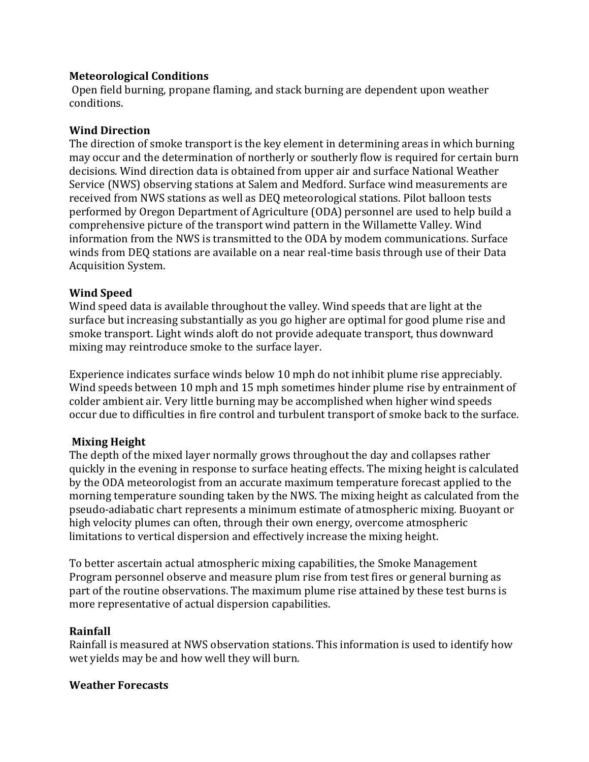## **Meteorological Conditions**

Open field burning, propane flaming, and stack burning are dependent upon weather conditions. 

## **Wind Direction**

The direction of smoke transport is the key element in determining areas in which burning may occur and the determination of northerly or southerly flow is required for certain burn decisions. Wind direction data is obtained from upper air and surface National Weather Service (NWS) observing stations at Salem and Medford. Surface wind measurements are received from NWS stations as well as DEQ meteorological stations. Pilot balloon tests performed by Oregon Department of Agriculture (ODA) personnel are used to help build a comprehensive picture of the transport wind pattern in the Willamette Valley. Wind information from the NWS is transmitted to the ODA by modem communications. Surface winds from DEQ stations are available on a near real-time basis through use of their Data Acquisition System. 

# **Wind Speed**

Wind speed data is available throughout the valley. Wind speeds that are light at the surface but increasing substantially as you go higher are optimal for good plume rise and smoke transport. Light winds aloft do not provide adequate transport, thus downward mixing may reintroduce smoke to the surface layer.

Experience indicates surface winds below 10 mph do not inhibit plume rise appreciably. Wind speeds between 10 mph and 15 mph sometimes hinder plume rise by entrainment of colder ambient air. Very little burning may be accomplished when higher wind speeds occur due to difficulties in fire control and turbulent transport of smoke back to the surface.

### **Mixing Height**

The depth of the mixed layer normally grows throughout the day and collapses rather quickly in the evening in response to surface heating effects. The mixing height is calculated by the ODA meteorologist from an accurate maximum temperature forecast applied to the morning temperature sounding taken by the NWS. The mixing height as calculated from the pseudo-adiabatic chart represents a minimum estimate of atmospheric mixing. Buoyant or high velocity plumes can often, through their own energy, overcome atmospheric limitations to vertical dispersion and effectively increase the mixing height.

To better ascertain actual atmospheric mixing capabilities, the Smoke Management Program personnel observe and measure plum rise from test fires or general burning as part of the routine observations. The maximum plume rise attained by these test burns is more representative of actual dispersion capabilities.

### **Rainfall**

Rainfall is measured at NWS observation stations. This information is used to identify how wet yields may be and how well they will burn.

### **Weather Forecasts**